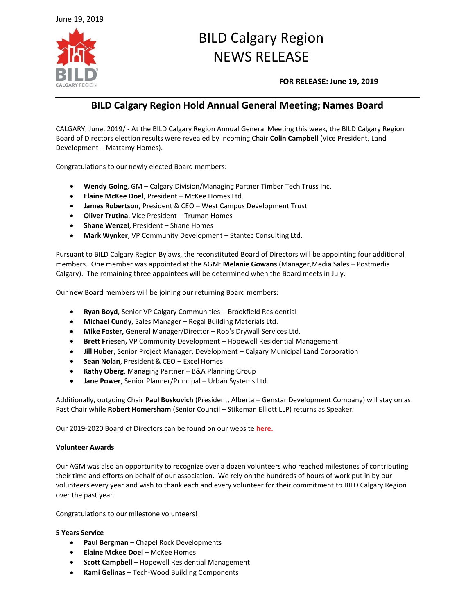

# BILD Calgary Region NEWS RELEASE

**FOR RELEASE: June 19, 2019**

# **BILD Calgary Region Hold Annual General Meeting; Names Board**

CALGARY, June, 2019/ - At the BILD Calgary Region Annual General Meeting this week, the BILD Calgary Region Board of Directors election results were revealed by incoming Chair **Colin Campbell** (Vice President, Land Development – Mattamy Homes).

Congratulations to our newly elected Board members:

- **Wendy Going**, GM Calgary Division/Managing Partner Timber Tech Truss Inc.
- **Elaine McKee Doel**, President McKee Homes Ltd.
- **James Robertson**, President & CEO West Campus Development Trust
- **Oliver Trutina**, Vice President Truman Homes
- **Shane Wenzel**, President Shane Homes
- **Mark Wynker**, VP Community Development Stantec Consulting Ltd.

Pursuant to BILD Calgary Region Bylaws, the reconstituted Board of Directors will be appointing four additional members. One member was appointed at the AGM: **Melanie Gowans** (Manager,Media Sales – Postmedia Calgary). The remaining three appointees will be determined when the Board meets in July.

Our new Board members will be joining our returning Board members:

- **Ryan Boyd**, Senior VP Calgary Communities Brookfield Residential
- **Michael Cundy**, Sales Manager Regal Building Materials Ltd.
- **Mike Foster,** General Manager/Director Rob's Drywall Services Ltd.
- **Brett Friesen,** VP Community Development Hopewell Residential Management
- **Jill Huber**, Senior Project Manager, Development Calgary Municipal Land Corporation
- **Sean Nolan**, President & CEO Excel Homes
- **Kathy Oberg**, Managing Partner B&A Planning Group
- **Jane Power**, Senior Planner/Principal Urban Systems Ltd.

Additionally, outgoing Chair **Paul Boskovich** (President, Alberta – Genstar Development Company) will stay on as Past Chair while **Robert Homersham** (Senior Council – Stikeman Elliott LLP) returns as Speaker.

Our 2019-2020 Board of Directors can be found on our website **[here.](https://bildcr.com/about-us/board-of-directors/)**

# **Volunteer Awards**

Our AGM was also an opportunity to recognize over a dozen volunteers who reached milestones of contributing their time and efforts on behalf of our association. We rely on the hundreds of hours of work put in by our volunteers every year and wish to thank each and every volunteer for their commitment to BILD Calgary Region over the past year.

Congratulations to our milestone volunteers!

# **5 Years Service**

- **Paul Bergman**  Chapel Rock Developments
- **Elaine Mckee Doel**  McKee Homes
- **Scott Campbell**  Hopewell Residential Management
- **Kami Gelinas**  Tech-Wood Building Components